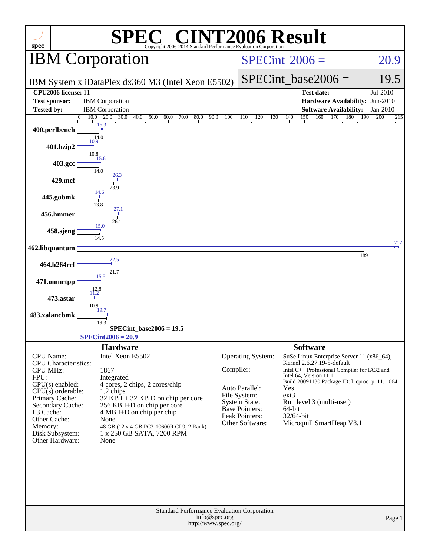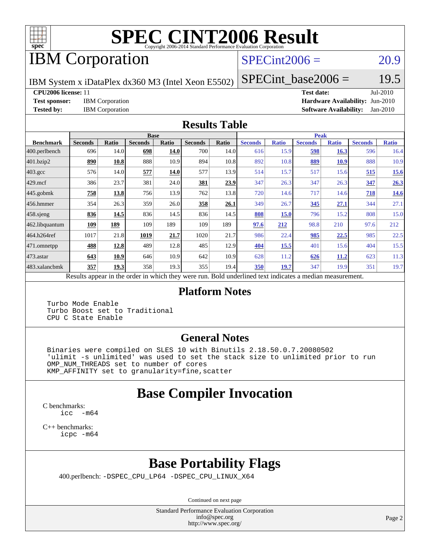

# **[SPEC CINT2006 Result](http://www.spec.org/auto/cpu2006/Docs/result-fields.html#SPECCINT2006Result)**

## IBM Corporation

#### $SPECint2006 = 20.9$  $SPECint2006 = 20.9$

IBM System x iDataPlex dx360 M3 (Intel Xeon E5502)

 $SPECTnt\_base2006 = 19.5$ 

**[CPU2006 license:](http://www.spec.org/auto/cpu2006/Docs/result-fields.html#CPU2006license)** 11 **[Test date:](http://www.spec.org/auto/cpu2006/Docs/result-fields.html#Testdate)** Jul-2010

**[Test sponsor:](http://www.spec.org/auto/cpu2006/Docs/result-fields.html#Testsponsor)** IBM Corporation **[Hardware Availability:](http://www.spec.org/auto/cpu2006/Docs/result-fields.html#HardwareAvailability)** Jun-2010 **[Tested by:](http://www.spec.org/auto/cpu2006/Docs/result-fields.html#Testedby)** IBM Corporation **[Software Availability:](http://www.spec.org/auto/cpu2006/Docs/result-fields.html#SoftwareAvailability)** Jan-2010

#### **[Results Table](http://www.spec.org/auto/cpu2006/Docs/result-fields.html#ResultsTable)**

|                   | <b>Base</b>                |       |                |                                                     |                |              |                                       | <b>Peak</b>  |                |              |                |              |  |
|-------------------|----------------------------|-------|----------------|-----------------------------------------------------|----------------|--------------|---------------------------------------|--------------|----------------|--------------|----------------|--------------|--|
| <b>Benchmark</b>  | <b>Seconds</b>             | Ratio | <b>Seconds</b> | <b>Ratio</b>                                        | <b>Seconds</b> | <b>Ratio</b> | <b>Seconds</b>                        | <b>Ratio</b> | <b>Seconds</b> | <b>Ratio</b> | <b>Seconds</b> | <b>Ratio</b> |  |
| $ 400$ .perlbench | 696                        | 14.0  | 698            | 14.0                                                | 700            | 14.0         | 616                                   | 15.9         | 598            | 16.3         | 596            | 16.4         |  |
| 401.bzip2         | 890                        | 10.8  | 888            | 10.9                                                | 894            | 10.8         | 892                                   | 10.8         | 889            | 10.9         | 888            | 10.9         |  |
| $403.\text{gcc}$  | 576                        | 14.0  | 577            | 14.0                                                | 577            | 13.9         | 514                                   | 15.7         | 517            | 15.6         | 515            | <u>15.6</u>  |  |
| $429$ .mcf        | 386                        | 23.7  | 381            | 24.0                                                | 381            | <u>23.9</u>  | 347                                   | 26.3         | 347            | 26.3         | 347            | 26.3         |  |
| $445$ .gobmk      | 758                        | 13.8  | 756            | 13.9                                                | 762            | 13.8         | 720                                   | 14.6         | 717            | 14.6         | 718            | 14.6         |  |
| $456.$ hmmer      | 354                        | 26.3  | 359            | 26.0                                                | 358            | 26.1         | 349                                   | 26.7         | 345            | 27.1         | 344            | 27.1         |  |
| $458$ .sjeng      | 836                        | 14.5  | 836            | 14.5                                                | 836            | 14.5         | 808                                   | 15.0         | 796            | 15.2         | 808            | 15.0         |  |
| 462.libquantum    | 109                        | 189   | 109            | 189                                                 | 109            | 189          | 97.6                                  | 212          | 98.8           | 210          | 97.6           | 212          |  |
| 464.h264ref       | 1017                       | 21.8  | 1019           | 21.7                                                | 1020           | 21.7         | 986                                   | 22.4         | 985            | 22.5         | 985            | 22.5         |  |
| 471.omnetpp       | 488                        | 12.8  | 489            | 12.8                                                | 485            | 12.9         | <b>404</b>                            | 15.5         | 401            | 15.6         | 404            | 15.5         |  |
| $473.$ astar      | 643                        | 10.9  | 646            | 10.9                                                | 642            | 10.9         | 628                                   | 11.2         | 626            | <u>11.2</u>  | 623            | 11.3         |  |
| 483.xalancbmk     | 357                        | 19.3  | 358            | 19.3                                                | 355            | 19.4         | 350                                   | 19.7         | 347            | 19.9         | 351            | 19.7         |  |
|                   | Danilla annan in tha andan |       |                | المرومين المستحدث والمتحالة الملائم كالمتحدث المتأد |                |              | Dald an dealined test in diestra a no |              | مستقلة المسا   |              |                |              |  |

Results appear in the [order in which they were run.](http://www.spec.org/auto/cpu2006/Docs/result-fields.html#RunOrder) Bold underlined text [indicates a median measurement.](http://www.spec.org/auto/cpu2006/Docs/result-fields.html#Median)

#### **[Platform Notes](http://www.spec.org/auto/cpu2006/Docs/result-fields.html#PlatformNotes)**

 Turbo Mode Enable Turbo Boost set to Traditional CPU C State Enable

#### **[General Notes](http://www.spec.org/auto/cpu2006/Docs/result-fields.html#GeneralNotes)**

 Binaries were compiled on SLES 10 with Binutils 2.18.50.0.7.20080502 'ulimit -s unlimited' was used to set the stack size to unlimited prior to run OMP\_NUM\_THREADS set to number of cores KMP\_AFFINITY set to granularity=fine,scatter

## **[Base Compiler Invocation](http://www.spec.org/auto/cpu2006/Docs/result-fields.html#BaseCompilerInvocation)**

[C benchmarks](http://www.spec.org/auto/cpu2006/Docs/result-fields.html#Cbenchmarks): [icc -m64](http://www.spec.org/cpu2006/results/res2010q3/cpu2006-20100802-12710.flags.html#user_CCbase_intel_icc_64bit_f346026e86af2a669e726fe758c88044)

[C++ benchmarks:](http://www.spec.org/auto/cpu2006/Docs/result-fields.html#CXXbenchmarks) [icpc -m64](http://www.spec.org/cpu2006/results/res2010q3/cpu2006-20100802-12710.flags.html#user_CXXbase_intel_icpc_64bit_fc66a5337ce925472a5c54ad6a0de310)

## **[Base Portability Flags](http://www.spec.org/auto/cpu2006/Docs/result-fields.html#BasePortabilityFlags)**

400.perlbench: [-DSPEC\\_CPU\\_LP64](http://www.spec.org/cpu2006/results/res2010q3/cpu2006-20100802-12710.flags.html#b400.perlbench_basePORTABILITY_DSPEC_CPU_LP64) [-DSPEC\\_CPU\\_LINUX\\_X64](http://www.spec.org/cpu2006/results/res2010q3/cpu2006-20100802-12710.flags.html#b400.perlbench_baseCPORTABILITY_DSPEC_CPU_LINUX_X64)

Continued on next page

Standard Performance Evaluation Corporation [info@spec.org](mailto:info@spec.org) <http://www.spec.org/>

Page 2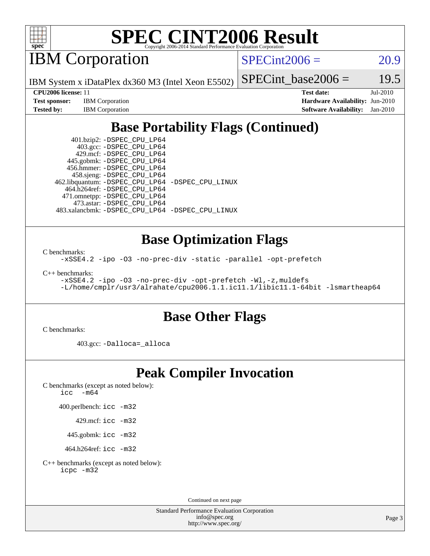

# **[SPEC CINT2006 Result](http://www.spec.org/auto/cpu2006/Docs/result-fields.html#SPECCINT2006Result)**

IBM Corporation

 $SPECint2006 = 20.9$  $SPECint2006 = 20.9$ 

IBM System x iDataPlex dx360 M3 (Intel Xeon E5502)

**[Tested by:](http://www.spec.org/auto/cpu2006/Docs/result-fields.html#Testedby)** IBM Corporation **[Software Availability:](http://www.spec.org/auto/cpu2006/Docs/result-fields.html#SoftwareAvailability)** Jan-2010

**[CPU2006 license:](http://www.spec.org/auto/cpu2006/Docs/result-fields.html#CPU2006license)** 11 **[Test date:](http://www.spec.org/auto/cpu2006/Docs/result-fields.html#Testdate)** Jul-2010 **[Test sponsor:](http://www.spec.org/auto/cpu2006/Docs/result-fields.html#Testsponsor)** IBM Corporation **[Hardware Availability:](http://www.spec.org/auto/cpu2006/Docs/result-fields.html#HardwareAvailability)** Jun-2010

SPECint base2006 =  $19.5$ 

## **[Base Portability Flags \(Continued\)](http://www.spec.org/auto/cpu2006/Docs/result-fields.html#BasePortabilityFlags)**

 401.bzip2: [-DSPEC\\_CPU\\_LP64](http://www.spec.org/cpu2006/results/res2010q3/cpu2006-20100802-12710.flags.html#suite_basePORTABILITY401_bzip2_DSPEC_CPU_LP64) 403.gcc: [-DSPEC\\_CPU\\_LP64](http://www.spec.org/cpu2006/results/res2010q3/cpu2006-20100802-12710.flags.html#suite_basePORTABILITY403_gcc_DSPEC_CPU_LP64) 429.mcf: [-DSPEC\\_CPU\\_LP64](http://www.spec.org/cpu2006/results/res2010q3/cpu2006-20100802-12710.flags.html#suite_basePORTABILITY429_mcf_DSPEC_CPU_LP64) 445.gobmk: [-DSPEC\\_CPU\\_LP64](http://www.spec.org/cpu2006/results/res2010q3/cpu2006-20100802-12710.flags.html#suite_basePORTABILITY445_gobmk_DSPEC_CPU_LP64) 456.hmmer: [-DSPEC\\_CPU\\_LP64](http://www.spec.org/cpu2006/results/res2010q3/cpu2006-20100802-12710.flags.html#suite_basePORTABILITY456_hmmer_DSPEC_CPU_LP64) 458.sjeng: [-DSPEC\\_CPU\\_LP64](http://www.spec.org/cpu2006/results/res2010q3/cpu2006-20100802-12710.flags.html#suite_basePORTABILITY458_sjeng_DSPEC_CPU_LP64) 462.libquantum: [-DSPEC\\_CPU\\_LP64](http://www.spec.org/cpu2006/results/res2010q3/cpu2006-20100802-12710.flags.html#suite_basePORTABILITY462_libquantum_DSPEC_CPU_LP64) [-DSPEC\\_CPU\\_LINUX](http://www.spec.org/cpu2006/results/res2010q3/cpu2006-20100802-12710.flags.html#b462.libquantum_baseCPORTABILITY_DSPEC_CPU_LINUX) 464.h264ref: [-DSPEC\\_CPU\\_LP64](http://www.spec.org/cpu2006/results/res2010q3/cpu2006-20100802-12710.flags.html#suite_basePORTABILITY464_h264ref_DSPEC_CPU_LP64) 471.omnetpp: [-DSPEC\\_CPU\\_LP64](http://www.spec.org/cpu2006/results/res2010q3/cpu2006-20100802-12710.flags.html#suite_basePORTABILITY471_omnetpp_DSPEC_CPU_LP64) 473.astar: [-DSPEC\\_CPU\\_LP64](http://www.spec.org/cpu2006/results/res2010q3/cpu2006-20100802-12710.flags.html#suite_basePORTABILITY473_astar_DSPEC_CPU_LP64) 483.xalancbmk: [-DSPEC\\_CPU\\_LP64](http://www.spec.org/cpu2006/results/res2010q3/cpu2006-20100802-12710.flags.html#suite_basePORTABILITY483_xalancbmk_DSPEC_CPU_LP64) [-DSPEC\\_CPU\\_LINUX](http://www.spec.org/cpu2006/results/res2010q3/cpu2006-20100802-12710.flags.html#b483.xalancbmk_baseCXXPORTABILITY_DSPEC_CPU_LINUX)

#### **[Base Optimization Flags](http://www.spec.org/auto/cpu2006/Docs/result-fields.html#BaseOptimizationFlags)**

[C benchmarks](http://www.spec.org/auto/cpu2006/Docs/result-fields.html#Cbenchmarks):

[-xSSE4.2](http://www.spec.org/cpu2006/results/res2010q3/cpu2006-20100802-12710.flags.html#user_CCbase_f-xSSE42_f91528193cf0b216347adb8b939d4107) [-ipo](http://www.spec.org/cpu2006/results/res2010q3/cpu2006-20100802-12710.flags.html#user_CCbase_f-ipo) [-O3](http://www.spec.org/cpu2006/results/res2010q3/cpu2006-20100802-12710.flags.html#user_CCbase_f-O3) [-no-prec-div](http://www.spec.org/cpu2006/results/res2010q3/cpu2006-20100802-12710.flags.html#user_CCbase_f-no-prec-div) [-static](http://www.spec.org/cpu2006/results/res2010q3/cpu2006-20100802-12710.flags.html#user_CCbase_f-static) [-parallel](http://www.spec.org/cpu2006/results/res2010q3/cpu2006-20100802-12710.flags.html#user_CCbase_f-parallel) [-opt-prefetch](http://www.spec.org/cpu2006/results/res2010q3/cpu2006-20100802-12710.flags.html#user_CCbase_f-opt-prefetch)

[C++ benchmarks:](http://www.spec.org/auto/cpu2006/Docs/result-fields.html#CXXbenchmarks)

[-xSSE4.2](http://www.spec.org/cpu2006/results/res2010q3/cpu2006-20100802-12710.flags.html#user_CXXbase_f-xSSE42_f91528193cf0b216347adb8b939d4107) [-ipo](http://www.spec.org/cpu2006/results/res2010q3/cpu2006-20100802-12710.flags.html#user_CXXbase_f-ipo) [-O3](http://www.spec.org/cpu2006/results/res2010q3/cpu2006-20100802-12710.flags.html#user_CXXbase_f-O3) [-no-prec-div](http://www.spec.org/cpu2006/results/res2010q3/cpu2006-20100802-12710.flags.html#user_CXXbase_f-no-prec-div) [-opt-prefetch](http://www.spec.org/cpu2006/results/res2010q3/cpu2006-20100802-12710.flags.html#user_CXXbase_f-opt-prefetch) [-Wl,-z,muldefs](http://www.spec.org/cpu2006/results/res2010q3/cpu2006-20100802-12710.flags.html#user_CXXbase_link_force_multiple1_74079c344b956b9658436fd1b6dd3a8a) [-L/home/cmplr/usr3/alrahate/cpu2006.1.1.ic11.1/libic11.1-64bit -lsmartheap64](http://www.spec.org/cpu2006/results/res2010q3/cpu2006-20100802-12710.flags.html#user_CXXbase_SmartHeap64_e2306cda84805d1ab360117a79ff779c)

#### **[Base Other Flags](http://www.spec.org/auto/cpu2006/Docs/result-fields.html#BaseOtherFlags)**

[C benchmarks](http://www.spec.org/auto/cpu2006/Docs/result-fields.html#Cbenchmarks):

403.gcc: [-Dalloca=\\_alloca](http://www.spec.org/cpu2006/results/res2010q3/cpu2006-20100802-12710.flags.html#b403.gcc_baseEXTRA_CFLAGS_Dalloca_be3056838c12de2578596ca5467af7f3)

#### **[Peak Compiler Invocation](http://www.spec.org/auto/cpu2006/Docs/result-fields.html#PeakCompilerInvocation)**

[C benchmarks \(except as noted below\)](http://www.spec.org/auto/cpu2006/Docs/result-fields.html#Cbenchmarksexceptasnotedbelow): [icc -m64](http://www.spec.org/cpu2006/results/res2010q3/cpu2006-20100802-12710.flags.html#user_CCpeak_intel_icc_64bit_f346026e86af2a669e726fe758c88044)

400.perlbench: [icc -m32](http://www.spec.org/cpu2006/results/res2010q3/cpu2006-20100802-12710.flags.html#user_peakCCLD400_perlbench_intel_icc_32bit_a6a621f8d50482236b970c6ac5f55f93)

429.mcf: [icc -m32](http://www.spec.org/cpu2006/results/res2010q3/cpu2006-20100802-12710.flags.html#user_peakCCLD429_mcf_intel_icc_32bit_a6a621f8d50482236b970c6ac5f55f93)

445.gobmk: [icc -m32](http://www.spec.org/cpu2006/results/res2010q3/cpu2006-20100802-12710.flags.html#user_peakCCLD445_gobmk_intel_icc_32bit_a6a621f8d50482236b970c6ac5f55f93)

464.h264ref: [icc -m32](http://www.spec.org/cpu2006/results/res2010q3/cpu2006-20100802-12710.flags.html#user_peakCCLD464_h264ref_intel_icc_32bit_a6a621f8d50482236b970c6ac5f55f93)

[C++ benchmarks \(except as noted below\):](http://www.spec.org/auto/cpu2006/Docs/result-fields.html#CXXbenchmarksexceptasnotedbelow) [icpc -m32](http://www.spec.org/cpu2006/results/res2010q3/cpu2006-20100802-12710.flags.html#user_CXXpeak_intel_icpc_32bit_4e5a5ef1a53fd332b3c49e69c3330699)

Continued on next page

Standard Performance Evaluation Corporation [info@spec.org](mailto:info@spec.org) <http://www.spec.org/>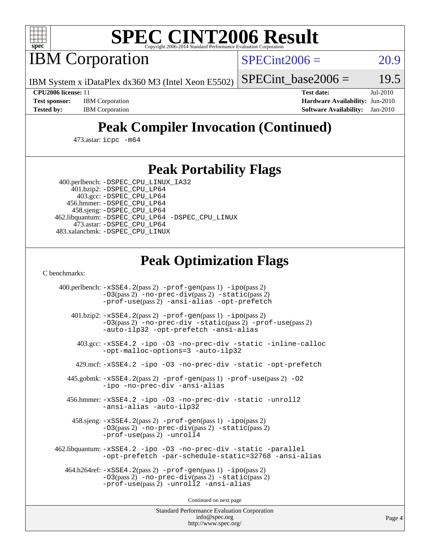

# **[SPEC CINT2006 Result](http://www.spec.org/auto/cpu2006/Docs/result-fields.html#SPECCINT2006Result)**

IBM Corporation

 $SPECint2006 = 20.9$  $SPECint2006 = 20.9$ 

IBM System x iDataPlex dx360 M3 (Intel Xeon E5502)

SPECint base2006 =  $19.5$ 

**[CPU2006 license:](http://www.spec.org/auto/cpu2006/Docs/result-fields.html#CPU2006license)** 11 **[Test date:](http://www.spec.org/auto/cpu2006/Docs/result-fields.html#Testdate)** Jul-2010 **[Test sponsor:](http://www.spec.org/auto/cpu2006/Docs/result-fields.html#Testsponsor)** IBM Corporation **[Hardware Availability:](http://www.spec.org/auto/cpu2006/Docs/result-fields.html#HardwareAvailability)** Jun-2010 **[Tested by:](http://www.spec.org/auto/cpu2006/Docs/result-fields.html#Testedby)** IBM Corporation **[Software Availability:](http://www.spec.org/auto/cpu2006/Docs/result-fields.html#SoftwareAvailability)** Jan-2010

## **[Peak Compiler Invocation \(Continued\)](http://www.spec.org/auto/cpu2006/Docs/result-fields.html#PeakCompilerInvocation)**

473.astar: [icpc -m64](http://www.spec.org/cpu2006/results/res2010q3/cpu2006-20100802-12710.flags.html#user_peakCXXLD473_astar_intel_icpc_64bit_fc66a5337ce925472a5c54ad6a0de310)

#### **[Peak Portability Flags](http://www.spec.org/auto/cpu2006/Docs/result-fields.html#PeakPortabilityFlags)**

 400.perlbench: [-DSPEC\\_CPU\\_LINUX\\_IA32](http://www.spec.org/cpu2006/results/res2010q3/cpu2006-20100802-12710.flags.html#b400.perlbench_peakCPORTABILITY_DSPEC_CPU_LINUX_IA32) 401.bzip2: [-DSPEC\\_CPU\\_LP64](http://www.spec.org/cpu2006/results/res2010q3/cpu2006-20100802-12710.flags.html#suite_peakPORTABILITY401_bzip2_DSPEC_CPU_LP64)

 403.gcc: [-DSPEC\\_CPU\\_LP64](http://www.spec.org/cpu2006/results/res2010q3/cpu2006-20100802-12710.flags.html#suite_peakPORTABILITY403_gcc_DSPEC_CPU_LP64) 456.hmmer: [-DSPEC\\_CPU\\_LP64](http://www.spec.org/cpu2006/results/res2010q3/cpu2006-20100802-12710.flags.html#suite_peakPORTABILITY456_hmmer_DSPEC_CPU_LP64) 458.sjeng: [-DSPEC\\_CPU\\_LP64](http://www.spec.org/cpu2006/results/res2010q3/cpu2006-20100802-12710.flags.html#suite_peakPORTABILITY458_sjeng_DSPEC_CPU_LP64) 462.libquantum: [-DSPEC\\_CPU\\_LP64](http://www.spec.org/cpu2006/results/res2010q3/cpu2006-20100802-12710.flags.html#suite_peakPORTABILITY462_libquantum_DSPEC_CPU_LP64) [-DSPEC\\_CPU\\_LINUX](http://www.spec.org/cpu2006/results/res2010q3/cpu2006-20100802-12710.flags.html#b462.libquantum_peakCPORTABILITY_DSPEC_CPU_LINUX) 473.astar: [-DSPEC\\_CPU\\_LP64](http://www.spec.org/cpu2006/results/res2010q3/cpu2006-20100802-12710.flags.html#suite_peakPORTABILITY473_astar_DSPEC_CPU_LP64) 483.xalancbmk: [-DSPEC\\_CPU\\_LINUX](http://www.spec.org/cpu2006/results/res2010q3/cpu2006-20100802-12710.flags.html#b483.xalancbmk_peakCXXPORTABILITY_DSPEC_CPU_LINUX)

#### **[Peak Optimization Flags](http://www.spec.org/auto/cpu2006/Docs/result-fields.html#PeakOptimizationFlags)**

[C benchmarks](http://www.spec.org/auto/cpu2006/Docs/result-fields.html#Cbenchmarks):

 400.perlbench: [-xSSE4.2](http://www.spec.org/cpu2006/results/res2010q3/cpu2006-20100802-12710.flags.html#user_peakPASS2_CFLAGSPASS2_LDCFLAGS400_perlbench_f-xSSE42_f91528193cf0b216347adb8b939d4107)(pass 2) [-prof-gen](http://www.spec.org/cpu2006/results/res2010q3/cpu2006-20100802-12710.flags.html#user_peakPASS1_CFLAGSPASS1_LDCFLAGS400_perlbench_prof_gen_e43856698f6ca7b7e442dfd80e94a8fc)(pass 1) [-ipo](http://www.spec.org/cpu2006/results/res2010q3/cpu2006-20100802-12710.flags.html#user_peakPASS2_CFLAGSPASS2_LDCFLAGS400_perlbench_f-ipo)(pass 2) [-O3](http://www.spec.org/cpu2006/results/res2010q3/cpu2006-20100802-12710.flags.html#user_peakPASS2_CFLAGSPASS2_LDCFLAGS400_perlbench_f-O3)(pass 2) [-no-prec-div](http://www.spec.org/cpu2006/results/res2010q3/cpu2006-20100802-12710.flags.html#user_peakPASS2_CFLAGSPASS2_LDCFLAGS400_perlbench_f-no-prec-div)(pass 2) [-static](http://www.spec.org/cpu2006/results/res2010q3/cpu2006-20100802-12710.flags.html#user_peakPASS2_CFLAGSPASS2_LDCFLAGS400_perlbench_f-static)(pass 2) [-prof-use](http://www.spec.org/cpu2006/results/res2010q3/cpu2006-20100802-12710.flags.html#user_peakPASS2_CFLAGSPASS2_LDCFLAGS400_perlbench_prof_use_bccf7792157ff70d64e32fe3e1250b55)(pass 2) [-ansi-alias](http://www.spec.org/cpu2006/results/res2010q3/cpu2006-20100802-12710.flags.html#user_peakCOPTIMIZE400_perlbench_f-ansi-alias) [-opt-prefetch](http://www.spec.org/cpu2006/results/res2010q3/cpu2006-20100802-12710.flags.html#user_peakCOPTIMIZE400_perlbench_f-opt-prefetch) 401.bzip2: [-xSSE4.2](http://www.spec.org/cpu2006/results/res2010q3/cpu2006-20100802-12710.flags.html#user_peakPASS2_CFLAGSPASS2_LDCFLAGS401_bzip2_f-xSSE42_f91528193cf0b216347adb8b939d4107)(pass 2) [-prof-gen](http://www.spec.org/cpu2006/results/res2010q3/cpu2006-20100802-12710.flags.html#user_peakPASS1_CFLAGSPASS1_LDCFLAGS401_bzip2_prof_gen_e43856698f6ca7b7e442dfd80e94a8fc)(pass 1) [-ipo](http://www.spec.org/cpu2006/results/res2010q3/cpu2006-20100802-12710.flags.html#user_peakPASS2_CFLAGSPASS2_LDCFLAGS401_bzip2_f-ipo)(pass 2) [-O3](http://www.spec.org/cpu2006/results/res2010q3/cpu2006-20100802-12710.flags.html#user_peakPASS2_CFLAGSPASS2_LDCFLAGS401_bzip2_f-O3)(pass 2) [-no-prec-div](http://www.spec.org/cpu2006/results/res2010q3/cpu2006-20100802-12710.flags.html#user_peakCOPTIMIZEPASS2_CFLAGSPASS2_LDCFLAGS401_bzip2_f-no-prec-div) [-static](http://www.spec.org/cpu2006/results/res2010q3/cpu2006-20100802-12710.flags.html#user_peakPASS2_CFLAGSPASS2_LDCFLAGS401_bzip2_f-static)(pass 2) [-prof-use](http://www.spec.org/cpu2006/results/res2010q3/cpu2006-20100802-12710.flags.html#user_peakPASS2_CFLAGSPASS2_LDCFLAGS401_bzip2_prof_use_bccf7792157ff70d64e32fe3e1250b55)(pass 2) [-auto-ilp32](http://www.spec.org/cpu2006/results/res2010q3/cpu2006-20100802-12710.flags.html#user_peakCOPTIMIZE401_bzip2_f-auto-ilp32) [-opt-prefetch](http://www.spec.org/cpu2006/results/res2010q3/cpu2006-20100802-12710.flags.html#user_peakCOPTIMIZE401_bzip2_f-opt-prefetch) [-ansi-alias](http://www.spec.org/cpu2006/results/res2010q3/cpu2006-20100802-12710.flags.html#user_peakCOPTIMIZE401_bzip2_f-ansi-alias) 403.gcc: [-xSSE4.2](http://www.spec.org/cpu2006/results/res2010q3/cpu2006-20100802-12710.flags.html#user_peakCOPTIMIZE403_gcc_f-xSSE42_f91528193cf0b216347adb8b939d4107) [-ipo](http://www.spec.org/cpu2006/results/res2010q3/cpu2006-20100802-12710.flags.html#user_peakCOPTIMIZE403_gcc_f-ipo) [-O3](http://www.spec.org/cpu2006/results/res2010q3/cpu2006-20100802-12710.flags.html#user_peakCOPTIMIZE403_gcc_f-O3) [-no-prec-div](http://www.spec.org/cpu2006/results/res2010q3/cpu2006-20100802-12710.flags.html#user_peakCOPTIMIZE403_gcc_f-no-prec-div) [-static](http://www.spec.org/cpu2006/results/res2010q3/cpu2006-20100802-12710.flags.html#user_peakCOPTIMIZE403_gcc_f-static) [-inline-calloc](http://www.spec.org/cpu2006/results/res2010q3/cpu2006-20100802-12710.flags.html#user_peakCOPTIMIZE403_gcc_f-inline-calloc) [-opt-malloc-options=3](http://www.spec.org/cpu2006/results/res2010q3/cpu2006-20100802-12710.flags.html#user_peakCOPTIMIZE403_gcc_f-opt-malloc-options_13ab9b803cf986b4ee62f0a5998c2238) [-auto-ilp32](http://www.spec.org/cpu2006/results/res2010q3/cpu2006-20100802-12710.flags.html#user_peakCOPTIMIZE403_gcc_f-auto-ilp32) 429.mcf: [-xSSE4.2](http://www.spec.org/cpu2006/results/res2010q3/cpu2006-20100802-12710.flags.html#user_peakCOPTIMIZE429_mcf_f-xSSE42_f91528193cf0b216347adb8b939d4107) [-ipo](http://www.spec.org/cpu2006/results/res2010q3/cpu2006-20100802-12710.flags.html#user_peakCOPTIMIZE429_mcf_f-ipo) [-O3](http://www.spec.org/cpu2006/results/res2010q3/cpu2006-20100802-12710.flags.html#user_peakCOPTIMIZE429_mcf_f-O3) [-no-prec-div](http://www.spec.org/cpu2006/results/res2010q3/cpu2006-20100802-12710.flags.html#user_peakCOPTIMIZE429_mcf_f-no-prec-div) [-static](http://www.spec.org/cpu2006/results/res2010q3/cpu2006-20100802-12710.flags.html#user_peakCOPTIMIZE429_mcf_f-static) [-opt-prefetch](http://www.spec.org/cpu2006/results/res2010q3/cpu2006-20100802-12710.flags.html#user_peakCOPTIMIZE429_mcf_f-opt-prefetch) 445.gobmk: [-xSSE4.2](http://www.spec.org/cpu2006/results/res2010q3/cpu2006-20100802-12710.flags.html#user_peakPASS2_CFLAGSPASS2_LDCFLAGS445_gobmk_f-xSSE42_f91528193cf0b216347adb8b939d4107)(pass 2) [-prof-gen](http://www.spec.org/cpu2006/results/res2010q3/cpu2006-20100802-12710.flags.html#user_peakPASS1_CFLAGSPASS1_LDCFLAGS445_gobmk_prof_gen_e43856698f6ca7b7e442dfd80e94a8fc)(pass 1) [-prof-use](http://www.spec.org/cpu2006/results/res2010q3/cpu2006-20100802-12710.flags.html#user_peakPASS2_CFLAGSPASS2_LDCFLAGS445_gobmk_prof_use_bccf7792157ff70d64e32fe3e1250b55)(pass 2) [-O2](http://www.spec.org/cpu2006/results/res2010q3/cpu2006-20100802-12710.flags.html#user_peakCOPTIMIZE445_gobmk_f-O2) [-ipo](http://www.spec.org/cpu2006/results/res2010q3/cpu2006-20100802-12710.flags.html#user_peakCOPTIMIZE445_gobmk_f-ipo) [-no-prec-div](http://www.spec.org/cpu2006/results/res2010q3/cpu2006-20100802-12710.flags.html#user_peakCOPTIMIZE445_gobmk_f-no-prec-div) [-ansi-alias](http://www.spec.org/cpu2006/results/res2010q3/cpu2006-20100802-12710.flags.html#user_peakCOPTIMIZE445_gobmk_f-ansi-alias) 456.hmmer: [-xSSE4.2](http://www.spec.org/cpu2006/results/res2010q3/cpu2006-20100802-12710.flags.html#user_peakCOPTIMIZE456_hmmer_f-xSSE42_f91528193cf0b216347adb8b939d4107) [-ipo](http://www.spec.org/cpu2006/results/res2010q3/cpu2006-20100802-12710.flags.html#user_peakCOPTIMIZE456_hmmer_f-ipo) [-O3](http://www.spec.org/cpu2006/results/res2010q3/cpu2006-20100802-12710.flags.html#user_peakCOPTIMIZE456_hmmer_f-O3) [-no-prec-div](http://www.spec.org/cpu2006/results/res2010q3/cpu2006-20100802-12710.flags.html#user_peakCOPTIMIZE456_hmmer_f-no-prec-div) [-static](http://www.spec.org/cpu2006/results/res2010q3/cpu2006-20100802-12710.flags.html#user_peakCOPTIMIZE456_hmmer_f-static) [-unroll2](http://www.spec.org/cpu2006/results/res2010q3/cpu2006-20100802-12710.flags.html#user_peakCOPTIMIZE456_hmmer_f-unroll_784dae83bebfb236979b41d2422d7ec2) [-ansi-alias](http://www.spec.org/cpu2006/results/res2010q3/cpu2006-20100802-12710.flags.html#user_peakCOPTIMIZE456_hmmer_f-ansi-alias) [-auto-ilp32](http://www.spec.org/cpu2006/results/res2010q3/cpu2006-20100802-12710.flags.html#user_peakCOPTIMIZE456_hmmer_f-auto-ilp32) 458.sjeng: [-xSSE4.2](http://www.spec.org/cpu2006/results/res2010q3/cpu2006-20100802-12710.flags.html#user_peakPASS2_CFLAGSPASS2_LDCFLAGS458_sjeng_f-xSSE42_f91528193cf0b216347adb8b939d4107)(pass 2) [-prof-gen](http://www.spec.org/cpu2006/results/res2010q3/cpu2006-20100802-12710.flags.html#user_peakPASS1_CFLAGSPASS1_LDCFLAGS458_sjeng_prof_gen_e43856698f6ca7b7e442dfd80e94a8fc)(pass 1) [-ipo](http://www.spec.org/cpu2006/results/res2010q3/cpu2006-20100802-12710.flags.html#user_peakPASS2_CFLAGSPASS2_LDCFLAGS458_sjeng_f-ipo)(pass 2) [-O3](http://www.spec.org/cpu2006/results/res2010q3/cpu2006-20100802-12710.flags.html#user_peakPASS2_CFLAGSPASS2_LDCFLAGS458_sjeng_f-O3)(pass 2) [-no-prec-div](http://www.spec.org/cpu2006/results/res2010q3/cpu2006-20100802-12710.flags.html#user_peakPASS2_CFLAGSPASS2_LDCFLAGS458_sjeng_f-no-prec-div)(pass 2) [-static](http://www.spec.org/cpu2006/results/res2010q3/cpu2006-20100802-12710.flags.html#user_peakPASS2_CFLAGSPASS2_LDCFLAGS458_sjeng_f-static)(pass 2) [-prof-use](http://www.spec.org/cpu2006/results/res2010q3/cpu2006-20100802-12710.flags.html#user_peakPASS2_CFLAGSPASS2_LDCFLAGS458_sjeng_prof_use_bccf7792157ff70d64e32fe3e1250b55)(pass 2) [-unroll4](http://www.spec.org/cpu2006/results/res2010q3/cpu2006-20100802-12710.flags.html#user_peakCOPTIMIZE458_sjeng_f-unroll_4e5e4ed65b7fd20bdcd365bec371b81f) 462.libquantum: [-xSSE4.2](http://www.spec.org/cpu2006/results/res2010q3/cpu2006-20100802-12710.flags.html#user_peakCOPTIMIZE462_libquantum_f-xSSE42_f91528193cf0b216347adb8b939d4107) [-ipo](http://www.spec.org/cpu2006/results/res2010q3/cpu2006-20100802-12710.flags.html#user_peakCOPTIMIZE462_libquantum_f-ipo) [-O3](http://www.spec.org/cpu2006/results/res2010q3/cpu2006-20100802-12710.flags.html#user_peakCOPTIMIZE462_libquantum_f-O3) [-no-prec-div](http://www.spec.org/cpu2006/results/res2010q3/cpu2006-20100802-12710.flags.html#user_peakCOPTIMIZE462_libquantum_f-no-prec-div) [-static](http://www.spec.org/cpu2006/results/res2010q3/cpu2006-20100802-12710.flags.html#user_peakCOPTIMIZE462_libquantum_f-static) [-parallel](http://www.spec.org/cpu2006/results/res2010q3/cpu2006-20100802-12710.flags.html#user_peakCOPTIMIZE462_libquantum_f-parallel) [-opt-prefetch](http://www.spec.org/cpu2006/results/res2010q3/cpu2006-20100802-12710.flags.html#user_peakCOPTIMIZE462_libquantum_f-opt-prefetch) [-par-schedule-static=32768](http://www.spec.org/cpu2006/results/res2010q3/cpu2006-20100802-12710.flags.html#user_peakCOPTIMIZE462_libquantum_f-par-schedule_9386bcd99ba64e99ee01d1aafefddd14) [-ansi-alias](http://www.spec.org/cpu2006/results/res2010q3/cpu2006-20100802-12710.flags.html#user_peakCOPTIMIZE462_libquantum_f-ansi-alias) 464.h264ref: [-xSSE4.2](http://www.spec.org/cpu2006/results/res2010q3/cpu2006-20100802-12710.flags.html#user_peakPASS2_CFLAGSPASS2_LDCFLAGS464_h264ref_f-xSSE42_f91528193cf0b216347adb8b939d4107)(pass 2) [-prof-gen](http://www.spec.org/cpu2006/results/res2010q3/cpu2006-20100802-12710.flags.html#user_peakPASS1_CFLAGSPASS1_LDCFLAGS464_h264ref_prof_gen_e43856698f6ca7b7e442dfd80e94a8fc)(pass 1) [-ipo](http://www.spec.org/cpu2006/results/res2010q3/cpu2006-20100802-12710.flags.html#user_peakPASS2_CFLAGSPASS2_LDCFLAGS464_h264ref_f-ipo)(pass 2) [-O3](http://www.spec.org/cpu2006/results/res2010q3/cpu2006-20100802-12710.flags.html#user_peakPASS2_CFLAGSPASS2_LDCFLAGS464_h264ref_f-O3)(pass 2) [-no-prec-div](http://www.spec.org/cpu2006/results/res2010q3/cpu2006-20100802-12710.flags.html#user_peakPASS2_CFLAGSPASS2_LDCFLAGS464_h264ref_f-no-prec-div)(pass 2) [-static](http://www.spec.org/cpu2006/results/res2010q3/cpu2006-20100802-12710.flags.html#user_peakPASS2_CFLAGSPASS2_LDCFLAGS464_h264ref_f-static)(pass 2) [-prof-use](http://www.spec.org/cpu2006/results/res2010q3/cpu2006-20100802-12710.flags.html#user_peakPASS2_CFLAGSPASS2_LDCFLAGS464_h264ref_prof_use_bccf7792157ff70d64e32fe3e1250b55)(pass 2) [-unroll2](http://www.spec.org/cpu2006/results/res2010q3/cpu2006-20100802-12710.flags.html#user_peakCOPTIMIZE464_h264ref_f-unroll_784dae83bebfb236979b41d2422d7ec2) [-ansi-alias](http://www.spec.org/cpu2006/results/res2010q3/cpu2006-20100802-12710.flags.html#user_peakCOPTIMIZE464_h264ref_f-ansi-alias)

Continued on next page

Standard Performance Evaluation Corporation [info@spec.org](mailto:info@spec.org) <http://www.spec.org/>